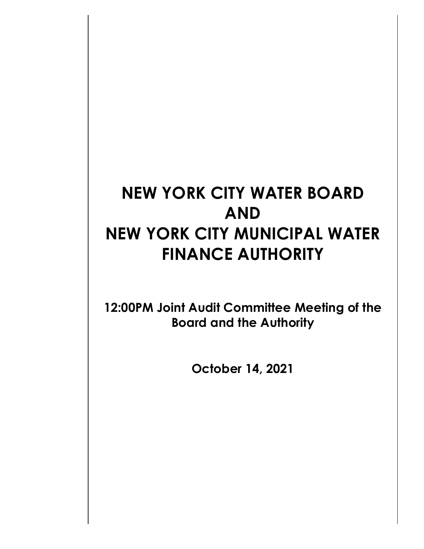## NEW YORK CITY WATER BOARD AND NEW YORK **CITY** MUNICIPAL WATER FINANCE AUTHORITY

12:00PM Joint Audit Committee Meeting of the Board and the Authority

October 14, 2021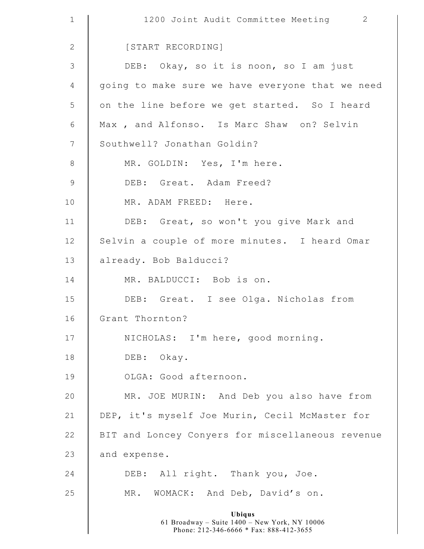| $\mathbf 1$    | 1200 Joint Audit Committee Meeting 2                                                                      |
|----------------|-----------------------------------------------------------------------------------------------------------|
| $\mathbf{2}$   | [START RECORDING]                                                                                         |
| 3              | DEB: Okay, so it is noon, so I am just                                                                    |
| 4              | going to make sure we have everyone that we need                                                          |
| 5              | on the line before we get started. So I heard                                                             |
| 6              | Max, and Alfonso. Is Marc Shaw on? Selvin                                                                 |
| $\overline{7}$ | Southwell? Jonathan Goldin?                                                                               |
| $\,8\,$        | MR. GOLDIN: Yes, I'm here.                                                                                |
| $\mathsf 9$    | DEB: Great. Adam Freed?                                                                                   |
| 10             | MR. ADAM FREED: Here.                                                                                     |
| 11             | DEB: Great, so won't you give Mark and                                                                    |
| 12             | Selvin a couple of more minutes. I heard Omar                                                             |
| 13             | already. Bob Balducci?                                                                                    |
| 14             | MR. BALDUCCI: Bob is on.                                                                                  |
| 15             | DEB: Great. I see Olga. Nicholas from                                                                     |
| 16             | Grant Thornton?                                                                                           |
| 17             | NICHOLAS: I'm here, good morning.                                                                         |
| 18             | DEB: Okay.                                                                                                |
| 19             | OLGA: Good afternoon.                                                                                     |
| 20             | MR. JOE MURIN: And Deb you also have from                                                                 |
| 21             | DEP, it's myself Joe Murin, Cecil McMaster for                                                            |
| 22             | BIT and Loncey Conyers for miscellaneous revenue                                                          |
| 23             | and expense.                                                                                              |
| 24             | All right. Thank you, Joe.<br>DEB:                                                                        |
| 25             | MR. WOMACK: And Deb, David's on.                                                                          |
|                | <b>Ubiqus</b><br>61 Broadway - Suite 1400 - New York, NY 10006<br>Phone: 212-346-6666 * Fax: 888-412-3655 |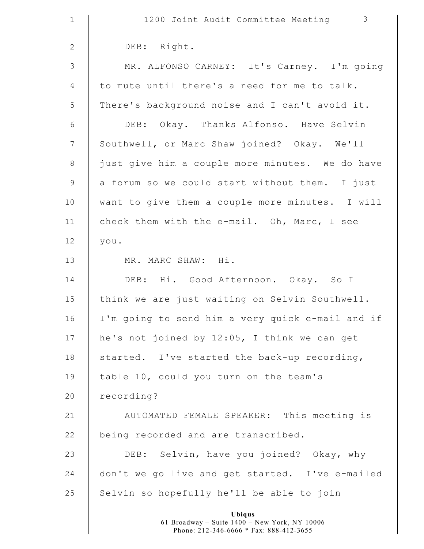| $\mathbf 1$    | $\mathcal{S}$<br>1200 Joint Audit Committee Meeting            |
|----------------|----------------------------------------------------------------|
| $\mathbf{2}$   | DEB: Right.                                                    |
| 3              | MR. ALFONSO CARNEY: It's Carney. I'm going                     |
| $\overline{4}$ | to mute until there's a need for me to talk.                   |
| 5              | There's background noise and I can't avoid it.                 |
| 6              | DEB: Okay. Thanks Alfonso. Have Selvin                         |
| $\overline{7}$ | Southwell, or Marc Shaw joined? Okay. We'll                    |
| $\,8\,$        | just give him a couple more minutes. We do have                |
| 9              | a forum so we could start without them. I just                 |
| 10             | want to give them a couple more minutes. I will                |
| 11             | check them with the e-mail. Oh, Marc, I see                    |
| 12             | you.                                                           |
| 13             | MR. MARC SHAW: Hi.                                             |
| 14             | DEB: Hi. Good Afternoon. Okay. So I                            |
| 15             | think we are just waiting on Selvin Southwell.                 |
| 16             | I'm going to send him a very quick e-mail and if               |
| 17             | he's not joined by 12:05, I think we can get                   |
| 18             | started. I've started the back-up recording,                   |
| 19             | table 10, could you turn on the team's                         |
| 20             | recording?                                                     |
| 21             | AUTOMATED FEMALE SPEAKER: This meeting is                      |
| 22             | being recorded and are transcribed.                            |
| 23             | DEB: Selvin, have you joined? Okay, why                        |
| 24             | don't we go live and get started. I've e-mailed                |
| 25             | Selvin so hopefully he'll be able to join                      |
|                | <b>Ubiqus</b><br>61 Broadway - Suite 1400 - New York, NY 10006 |

Phone: 212-346-6666 \* Fax: 888-412-3655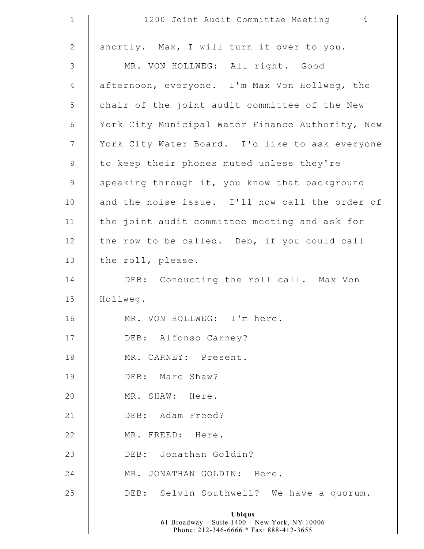| $\mathbf{1}$    | 1200 Joint Audit Committee Meeting<br>4                        |
|-----------------|----------------------------------------------------------------|
| 2               | shortly. Max, I will turn it over to you.                      |
| $\mathfrak{Z}$  | MR. VON HOLLWEG: All right. Good                               |
| 4               | afternoon, everyone. I'm Max Von Hollweg, the                  |
| 5               | chair of the joint audit committee of the New                  |
| $\epsilon$      | York City Municipal Water Finance Authority, New               |
| $7\phantom{.0}$ | York City Water Board. I'd like to ask everyone                |
| 8               | to keep their phones muted unless they're                      |
| $\mathsf 9$     | speaking through it, you know that background                  |
| 10              | and the noise issue. I'll now call the order of                |
| 11              | the joint audit committee meeting and ask for                  |
| 12              | the row to be called. Deb, if you could call                   |
| 13              | the roll, please.                                              |
| 14              | DEB: Conducting the roll call. Max Von                         |
| 15              | Hollweg.                                                       |
| 16              | MR. VON HOLLWEG: I'm here.                                     |
| 17              | DEB: Alfonso Carney?                                           |
| 18              | MR. CARNEY: Present.                                           |
| 19              | DEB: Marc Shaw?                                                |
| 20              | MR. SHAW: Here.                                                |
| 21              | DEB: Adam Freed?                                               |
| 22              | MR. FREED: Here.                                               |
| 23              | DEB: Jonathan Goldin?                                          |
| 24              | MR. JONATHAN GOLDIN: Here.                                     |
| 25              | DEB: Selvin Southwell? We have a quorum.                       |
|                 | <b>Ubiqus</b><br>61 Broadway - Suite 1400 - New York, NY 10006 |

Phone: 212-346-6666 \* Fax: 888-412-3655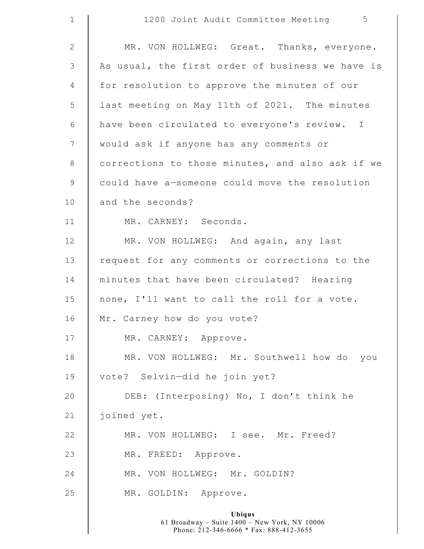| $\mathbf 1$    | 1200 Joint Audit Committee Meeting 5                                                                      |
|----------------|-----------------------------------------------------------------------------------------------------------|
| $\mathbf{2}$   | MR. VON HOLLWEG: Great. Thanks, everyone.                                                                 |
| $\mathsf 3$    | As usual, the first order of business we have is                                                          |
| $\overline{4}$ | for resolution to approve the minutes of our                                                              |
| 5              | last meeting on May 11th of 2021. The minutes                                                             |
| 6              | have been circulated to everyone's review. I                                                              |
| $\overline{7}$ | would ask if anyone has any comments or                                                                   |
| $\,8\,$        | corrections to those minutes, and also ask if we                                                          |
| $\mathsf 9$    | could have a-someone could move the resolution                                                            |
| 10             | and the seconds?                                                                                          |
| 11             | MR. CARNEY: Seconds.                                                                                      |
| 12             | MR. VON HOLLWEG: And again, any last                                                                      |
| 13             | request for any comments or corrections to the                                                            |
| 14             | minutes that have been circulated? Hearing                                                                |
| 15             | none, I'll want to call the roll for a vote.                                                              |
| 16             | Mr. Carney how do you vote?                                                                               |
| 17             | MR. CARNEY: Approve.                                                                                      |
| 18             | MR. VON HOLLWEG: Mr. Southwell how do<br>you                                                              |
| 19             | vote? Selvin-did he join yet?                                                                             |
| 20             | DEB: (Interposing) No, I don't think he                                                                   |
| 21             | joined yet.                                                                                               |
| 22             | MR. VON HOLLWEG: I see. Mr. Freed?                                                                        |
| 23             | MR. FREED: Approve.                                                                                       |
| 24             | MR. VON HOLLWEG: Mr. GOLDIN?                                                                              |
| 25             | MR. GOLDIN: Approve.                                                                                      |
|                | <b>Ubiqus</b><br>61 Broadway - Suite 1400 - New York, NY 10006<br>Phone: 212-346-6666 * Fax: 888-412-3655 |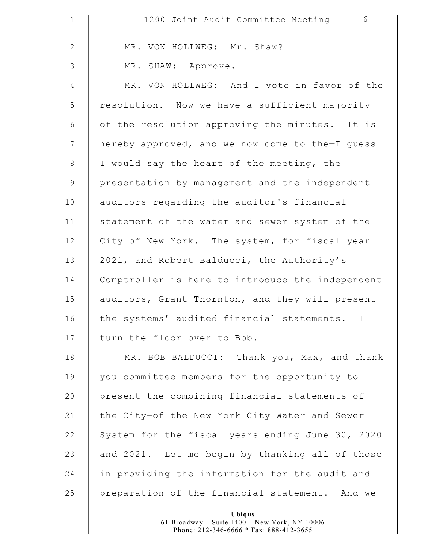| $\mathbf 1$     | 1200 Joint Audit Committee Meeting<br>6          |
|-----------------|--------------------------------------------------|
| $\mathbf{2}$    | MR. VON HOLLWEG: Mr. Shaw?                       |
| 3               | MR. SHAW: Approve.                               |
| 4               | MR. VON HOLLWEG: And I vote in favor of the      |
| 5               | resolution. Now we have a sufficient majority    |
| 6               | of the resolution approving the minutes. It is   |
| $7\phantom{.0}$ | hereby approved, and we now come to the-I guess  |
| $\,8\,$         | I would say the heart of the meeting, the        |
| $\mathsf 9$     | presentation by management and the independent   |
| 10              | auditors regarding the auditor's financial       |
| 11              | statement of the water and sewer system of the   |
| 12              | City of New York. The system, for fiscal year    |
| 13              | 2021, and Robert Balducci, the Authority's       |
| 14              | Comptroller is here to introduce the independent |
| 15              | auditors, Grant Thornton, and they will present  |
| 16              | the systems' audited financial statements. I     |
| 17              | turn the floor over to Bob.                      |
| 18              | MR. BOB BALDUCCI: Thank you, Max, and thank      |
| 19              | you committee members for the opportunity to     |
| 20              | present the combining financial statements of    |
| 21              | the City-of the New York City Water and Sewer    |
| 22              | System for the fiscal years ending June 30, 2020 |
| 23              | and 2021. Let me begin by thanking all of those  |
| 24              | in providing the information for the audit and   |
| 25              | preparation of the financial statement. And we   |
|                 | <b>Ubiqus</b>                                    |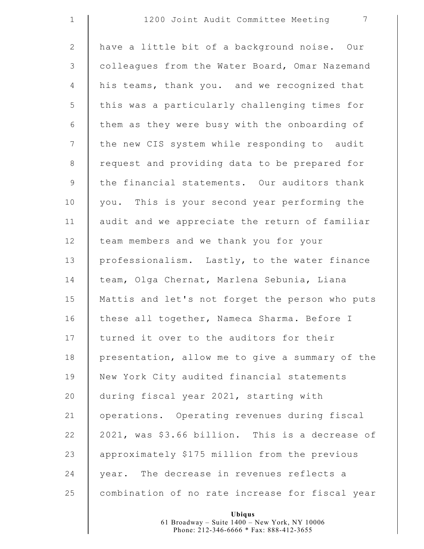| $\mathbf 1$    | 1200 Joint Audit Committee Meeting<br>7         |
|----------------|-------------------------------------------------|
| $\mathbf{2}$   | have a little bit of a background noise. Our    |
| $\mathsf 3$    | colleagues from the Water Board, Omar Nazemand  |
| 4              | his teams, thank you. and we recognized that    |
| 5              | this was a particularly challenging times for   |
| 6              | them as they were busy with the onboarding of   |
| $\overline{7}$ | the new CIS system while responding to audit    |
| $\,8\,$        | request and providing data to be prepared for   |
| $\mathsf 9$    | the financial statements. Our auditors thank    |
| 10             | you. This is your second year performing the    |
| 11             | audit and we appreciate the return of familiar  |
| 12             | team members and we thank you for your          |
| 13             | professionalism. Lastly, to the water finance   |
| 14             | team, Olga Chernat, Marlena Sebunia, Liana      |
| 15             | Mattis and let's not forget the person who puts |
| 16             | these all together, Nameca Sharma. Before I     |
| 17             | turned it over to the auditors for their        |
| 18             | presentation, allow me to give a summary of the |
| 19             | New York City audited financial statements      |
| 20             | during fiscal year 2021, starting with          |
| 21             | operations. Operating revenues during fiscal    |
| 22             | 2021, was \$3.66 billion. This is a decrease of |
| 23             | approximately \$175 million from the previous   |
| 24             | year. The decrease in revenues reflects a       |
| 25             | combination of no rate increase for fiscal year |
|                |                                                 |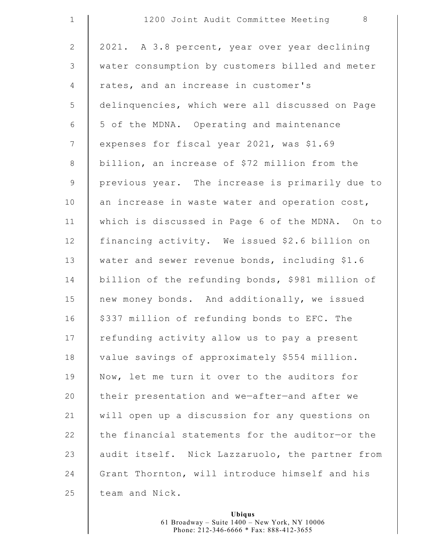| $\mathbf 1$    | 1200 Joint Audit Committee Meeting<br>8          |
|----------------|--------------------------------------------------|
| $\mathbf{2}$   | 2021. A 3.8 percent, year over year declining    |
| 3              | water consumption by customers billed and meter  |
| $\overline{4}$ | rates, and an increase in customer's             |
| 5              | delinquencies, which were all discussed on Page  |
| $6\,$          | 5 of the MDNA. Operating and maintenance         |
| $\overline{7}$ | expenses for fiscal year 2021, was \$1.69        |
| 8              | billion, an increase of \$72 million from the    |
| $\overline{9}$ | previous year. The increase is primarily due to  |
| 10             | an increase in waste water and operation cost,   |
| 11             | which is discussed in Page 6 of the MDNA. On to  |
| 12             | financing activity. We issued \$2.6 billion on   |
| 13             | water and sewer revenue bonds, including \$1.6   |
| 14             | billion of the refunding bonds, \$981 million of |
| 15             | new money bonds. And additionally, we issued     |
| 16             | \$337 million of refunding bonds to EFC. The     |
| 17             | refunding activity allow us to pay a present     |
| 18             | value savings of approximately \$554 million.    |
| 19             | Now, let me turn it over to the auditors for     |
| 20             | their presentation and we-after-and after we     |
| 21             | will open up a discussion for any questions on   |
| 22             | the financial statements for the auditor-or the  |
| 23             | audit itself. Nick Lazzaruolo, the partner from  |
| 24             | Grant Thornton, will introduce himself and his   |
| 25             | team and Nick.                                   |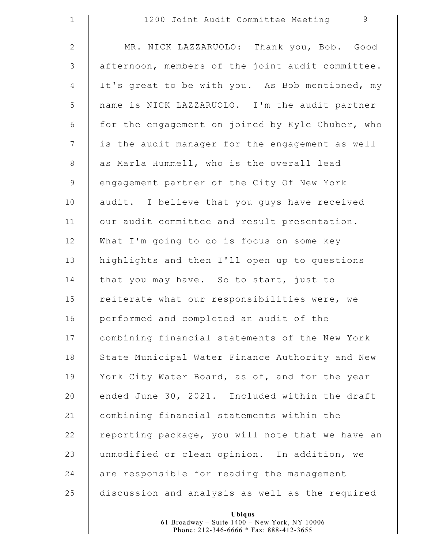| $\mathbf 1$     | 9<br>1200 Joint Audit Committee Meeting          |
|-----------------|--------------------------------------------------|
| 2               | MR. NICK LAZZARUOLO: Thank you, Bob. Good        |
| $\mathfrak{Z}$  | afternoon, members of the joint audit committee. |
| $\overline{4}$  | It's great to be with you. As Bob mentioned, my  |
| 5               | name is NICK LAZZARUOLO. I'm the audit partner   |
| 6               | for the engagement on joined by Kyle Chuber, who |
| $7\phantom{.0}$ | is the audit manager for the engagement as well  |
| $8\,$           | as Marla Hummell, who is the overall lead        |
| $\mathsf 9$     | engagement partner of the City Of New York       |
| 10              | audit. I believe that you guys have received     |
| 11              | our audit committee and result presentation.     |
| 12              | What I'm going to do is focus on some key        |
| 13              | highlights and then I'll open up to questions    |
| 14              | that you may have. So to start, just to          |
| 15              | reiterate what our responsibilities were, we     |
| 16              | performed and completed an audit of the          |
| 17              | combining financial statements of the New York   |
| 18              | State Municipal Water Finance Authority and New  |
| 19              | York City Water Board, as of, and for the year   |
| 20              | ended June 30, 2021. Included within the draft   |
| 21              | combining financial statements within the        |
| 22              | reporting package, you will note that we have an |
| 23              | unmodified or clean opinion. In addition, we     |
| 24              | are responsible for reading the management       |
| 25              | discussion and analysis as well as the required  |
|                 |                                                  |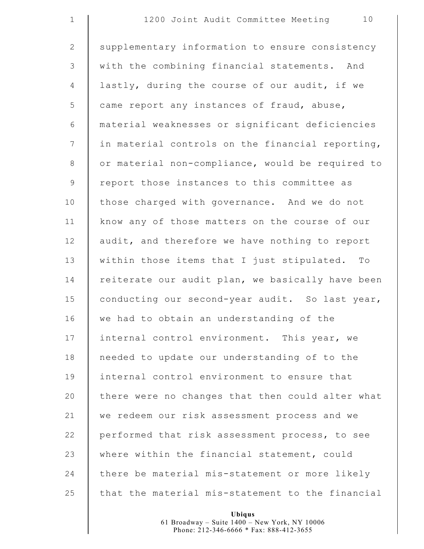| $\mathbf{1}$   | 1200 Joint Audit Committee Meeting<br>10                |
|----------------|---------------------------------------------------------|
| $\mathbf{2}$   | supplementary information to ensure consistency         |
| $\mathcal{S}$  | with the combining financial statements. And            |
| $\overline{4}$ | lastly, during the course of our audit, if we           |
| 5              | came report any instances of fraud, abuse,              |
| 6              | material weaknesses or significant deficiencies         |
| $\overline{7}$ | in material controls on the financial reporting,        |
| 8              | or material non-compliance, would be required to        |
| $\mathsf 9$    | report those instances to this committee as             |
| 10             | those charged with governance. And we do not            |
| 11             | know any of those matters on the course of our          |
| 12             | audit, and therefore we have nothing to report          |
| 13             | within those items that I just stipulated.<br>$T \circ$ |
| 14             | reiterate our audit plan, we basically have been        |
| 15             | conducting our second-year audit. So last year,         |
| 16             | we had to obtain an understanding of the                |
| 17             | internal control environment. This year, we             |
| 18             | needed to update our understanding of to the            |
| 19             | internal control environment to ensure that             |
| 20             | there were no changes that then could alter what        |
| 21             | we redeem our risk assessment process and we            |
| 22             | performed that risk assessment process, to see          |
| 23             | where within the financial statement, could             |
| 24             | there be material mis-statement or more likely          |
| 25             | that the material mis-statement to the financial        |
|                | Ubiqus                                                  |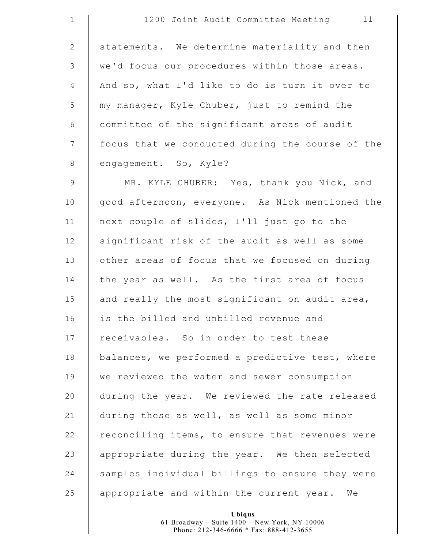| $\mathbf 1$    | 11<br>1200 Joint Audit Committee Meeting         |
|----------------|--------------------------------------------------|
| $\mathbf{2}$   | statements. We determine materiality and then    |
| 3              | we'd focus our procedures within those areas.    |
| 4              | And so, what I'd like to do is turn it over to   |
| 5              | my manager, Kyle Chuber, just to remind the      |
| 6              | committee of the significant areas of audit      |
| $\overline{7}$ | focus that we conducted during the course of the |
| 8              | engagement. So, Kyle?                            |
| $\mathsf 9$    | MR. KYLE CHUBER: Yes, thank you Nick, and        |
| 10             | good afternoon, everyone. As Nick mentioned the  |
| 11             | next couple of slides, I'll just go to the       |
| 12             | significant risk of the audit as well as some    |
| 13             | other areas of focus that we focused on during   |
| 14             | the year as well. As the first area of focus     |
| 15             | and really the most significant on audit area,   |
| 16             | is the billed and unbilled revenue and           |
| 17             | receivables. So in order to test these           |
| 18             | balances, we performed a predictive test, where  |
| 19             | we reviewed the water and sewer consumption      |
| 20             | during the year. We reviewed the rate released   |
| 21             | during these as well, as well as some minor      |
| 22             | reconciling items, to ensure that revenues were  |
| 23             | appropriate during the year. We then selected    |
| 24             | samples individual billings to ensure they were  |
| 25             | appropriate and within the current year. We      |

Ubiqus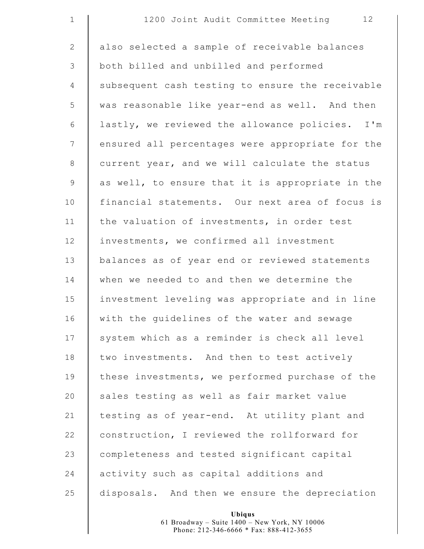| $\mathbf 1$    | 1200 Joint Audit Committee Meeting<br>12         |
|----------------|--------------------------------------------------|
| $\mathbf{2}$   | also selected a sample of receivable balances    |
| $\mathfrak{Z}$ | both billed and unbilled and performed           |
| $\overline{4}$ | subsequent cash testing to ensure the receivable |
| 5              | was reasonable like year-end as well. And then   |
| 6              | lastly, we reviewed the allowance policies. I'm  |
| $\overline{7}$ | ensured all percentages were appropriate for the |
| $8\,$          | current year, and we will calculate the status   |
| $\mathsf 9$    | as well, to ensure that it is appropriate in the |
| 10             | financial statements. Our next area of focus is  |
| 11             | the valuation of investments, in order test      |
| 12             | investments, we confirmed all investment         |
| 13             | balances as of year end or reviewed statements   |
| 14             | when we needed to and then we determine the      |
| 15             | investment leveling was appropriate and in line  |
| 16             | with the guidelines of the water and sewage      |
| 17             | system which as a reminder is check all level    |
| 18             | two investments. And then to test actively       |
| 19             | these investments, we performed purchase of the  |
| 20             | sales testing as well as fair market value       |
| 21             | testing as of year-end. At utility plant and     |
| 22             | construction, I reviewed the rollforward for     |
| 23             | completeness and tested significant capital      |
| 24             | activity such as capital additions and           |
| 25             | disposals. And then we ensure the depreciation   |
|                |                                                  |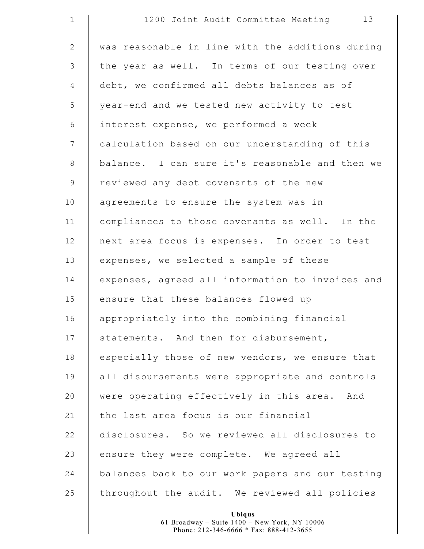| $\mathbf 1$    | 13<br>1200 Joint Audit Committee Meeting         |
|----------------|--------------------------------------------------|
| $\mathbf{2}$   | was reasonable in line with the additions during |
| 3              | the year as well. In terms of our testing over   |
| 4              | debt, we confirmed all debts balances as of      |
| 5              | year-end and we tested new activity to test      |
| 6              | interest expense, we performed a week            |
| $\overline{7}$ | calculation based on our understanding of this   |
| $\,8\,$        | balance. I can sure it's reasonable and then we  |
| 9              | reviewed any debt covenants of the new           |
| 10             | agreements to ensure the system was in           |
| 11             | compliances to those covenants as well. In the   |
| 12             | next area focus is expenses. In order to test    |
| 13             | expenses, we selected a sample of these          |
| 14             | expenses, agreed all information to invoices and |
| 15             | ensure that these balances flowed up             |
| 16             | appropriately into the combining financial       |
| 17             | statements. And then for disbursement,           |
| 18             | especially those of new vendors, we ensure that  |
| 19             | all disbursements were appropriate and controls  |
| 20             | were operating effectively in this area. And     |
| 21             | the last area focus is our financial             |
| 22             | disclosures. So we reviewed all disclosures to   |
| 23             | ensure they were complete. We agreed all         |
| 24             | balances back to our work papers and our testing |
| 25             | throughout the audit. We reviewed all policies   |
|                | <b>Ubiqus</b>                                    |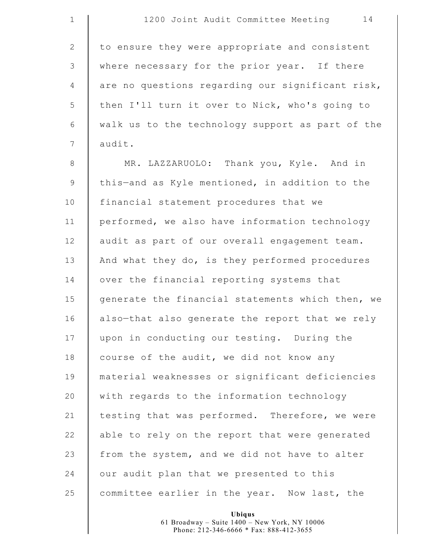| $\mathbf 1$    | 1200 Joint Audit Committee Meeting<br>14         |
|----------------|--------------------------------------------------|
| $\mathbf{2}$   | to ensure they were appropriate and consistent   |
| 3              | where necessary for the prior year. If there     |
| 4              | are no questions regarding our significant risk, |
| 5              | then I'll turn it over to Nick, who's going to   |
| 6              | walk us to the technology support as part of the |
| $\overline{7}$ | audit.                                           |
| 8              | MR. LAZZARUOLO: Thank you, Kyle. And in          |
| $\mathsf 9$    | this-and as Kyle mentioned, in addition to the   |
| 10             | financial statement procedures that we           |
| 11             | performed, we also have information technology   |
| 12             | audit as part of our overall engagement team.    |
| 13             | And what they do, is they performed procedures   |
| 14             | over the financial reporting systems that        |
| 15             | generate the financial statements which then, we |
| 16             | also-that also generate the report that we rely  |
| 17             | upon in conducting our testing. During the       |
| 18             | course of the audit, we did not know any         |
| 19             | material weaknesses or significant deficiencies  |
| 20             | with regards to the information technology       |
| 21             | testing that was performed. Therefore, we were   |
| 22             | able to rely on the report that were generated   |
| 23             | from the system, and we did not have to alter    |
| 24             | our audit plan that we presented to this         |
| 25             | committee earlier in the year. Now last, the     |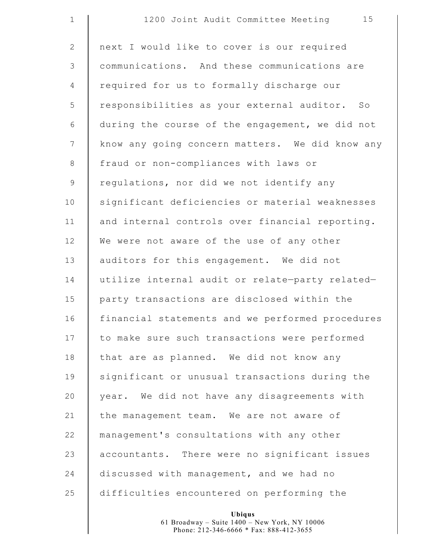| $\mathbf 1$    | 15<br>1200 Joint Audit Committee Meeting         |
|----------------|--------------------------------------------------|
| $\mathbf{2}$   | next I would like to cover is our required       |
| $\mathfrak{Z}$ | communications. And these communications are     |
| $\overline{4}$ | required for us to formally discharge our        |
| 5              | responsibilities as your external auditor. So    |
| 6              | during the course of the engagement, we did not  |
| $7\phantom{.}$ | know any going concern matters. We did know any  |
| 8              | fraud or non-compliances with laws or            |
| $\mathsf 9$    | regulations, nor did we not identify any         |
| 10             | significant deficiencies or material weaknesses  |
| 11             | and internal controls over financial reporting.  |
| 12             | We were not aware of the use of any other        |
| 13             | auditors for this engagement. We did not         |
| 14             | utilize internal audit or relate-party related-  |
| 15             | party transactions are disclosed within the      |
| 16             | financial statements and we performed procedures |
| 17             | to make sure such transactions were performed    |
| 18             | that are as planned. We did not know any         |
| 19             | significant or unusual transactions during the   |
| 20             | year. We did not have any disagreements with     |
| 21             | the management team. We are not aware of         |
| 22             | management's consultations with any other        |
| 23             | accountants. There were no significant issues    |
| 24             | discussed with management, and we had no         |
| 25             | difficulties encountered on performing the       |
|                | <b>Ubiqus</b>                                    |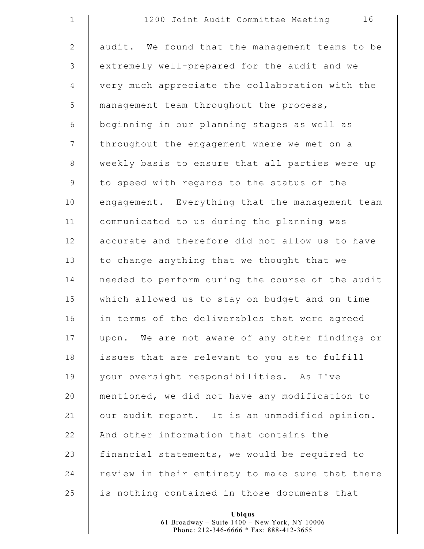| $\mathbf 1$    | 16<br>1200 Joint Audit Committee Meeting         |
|----------------|--------------------------------------------------|
| $\overline{2}$ | audit. We found that the management teams to be  |
| $\mathsf 3$    | extremely well-prepared for the audit and we     |
| 4              | very much appreciate the collaboration with the  |
| 5              | management team throughout the process,          |
| 6              | beginning in our planning stages as well as      |
| $7\phantom{.}$ | throughout the engagement where we met on a      |
| $\,8\,$        | weekly basis to ensure that all parties were up  |
| $\mathsf 9$    | to speed with regards to the status of the       |
| 10             | engagement. Everything that the management team  |
| 11             | communicated to us during the planning was       |
| 12             | accurate and therefore did not allow us to have  |
| 13             | to change anything that we thought that we       |
| 14             | needed to perform during the course of the audit |
| 15             | which allowed us to stay on budget and on time   |
| 16             | in terms of the deliverables that were agreed    |
| 17             | upon. We are not aware of any other findings or  |
| 18             | issues that are relevant to you as to fulfill    |
| 19             | your oversight responsibilities. As I've         |
| 20             | mentioned, we did not have any modification to   |
| 21             | our audit report. It is an unmodified opinion.   |
| 22             | And other information that contains the          |
| 23             | financial statements, we would be required to    |
| 24             | review in their entirety to make sure that there |
| 25             | is nothing contained in those documents that     |
|                | <b>Ubiqus</b>                                    |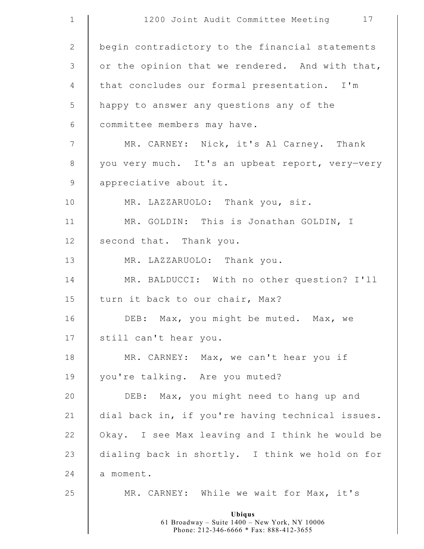| $\mathbf 1$      | 1200 Joint Audit Committee Meeting<br>17                                                                  |
|------------------|-----------------------------------------------------------------------------------------------------------|
| $\mathbf{2}$     | begin contradictory to the financial statements                                                           |
| $\mathfrak{Z}$   | or the opinion that we rendered. And with that,                                                           |
| $\overline{4}$   | that concludes our formal presentation. I'm                                                               |
| 5                | happy to answer any questions any of the                                                                  |
| 6                | committee members may have.                                                                               |
| $\boldsymbol{7}$ | MR. CARNEY: Nick, it's Al Carney. Thank                                                                   |
| $\,8\,$          | you very much. It's an upbeat report, very-very                                                           |
| $\mathsf 9$      | appreciative about it.                                                                                    |
| 10               | MR. LAZZARUOLO: Thank you, sir.                                                                           |
| 11               | MR. GOLDIN: This is Jonathan GOLDIN, I                                                                    |
| 12               | second that. Thank you.                                                                                   |
| 13               | MR. LAZZARUOLO: Thank you.                                                                                |
| 14               | MR. BALDUCCI: With no other question? I'll                                                                |
| 15               | turn it back to our chair, Max?                                                                           |
| 16               | DEB: Max, you might be muted. Max, we                                                                     |
| 17               | still can't hear you.                                                                                     |
| 18               | MR. CARNEY: Max, we can't hear you if                                                                     |
| 19               | you're talking. Are you muted?                                                                            |
| 20               | DEB: Max, you might need to hang up and                                                                   |
| 21               | dial back in, if you're having technical issues.                                                          |
| 22               | Okay. I see Max leaving and I think he would be                                                           |
| 23               | dialing back in shortly. I think we hold on for                                                           |
| 24               | a moment.                                                                                                 |
| 25               | MR. CARNEY: While we wait for Max, it's                                                                   |
|                  | <b>Ubiqus</b><br>61 Broadway - Suite 1400 - New York, NY 10006<br>Phone: 212-346-6666 * Fax: 888-412-3655 |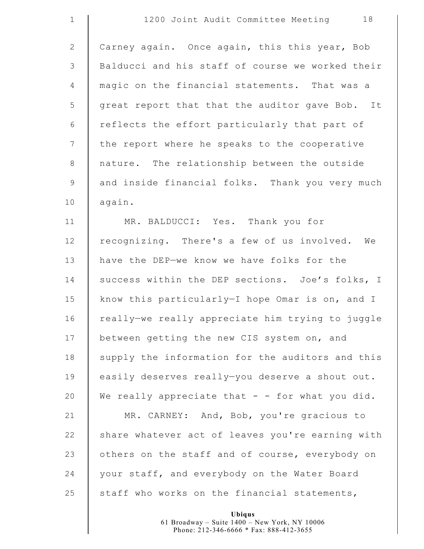| $\mathbf{1}$    | 18<br>1200 Joint Audit Committee Meeting          |
|-----------------|---------------------------------------------------|
| 2               | Carney again. Once again, this this year, Bob     |
| $\mathfrak{Z}$  | Balducci and his staff of course we worked their  |
| $\overline{4}$  | magic on the financial statements. That was a     |
| 5               | great report that that the auditor gave Bob. It   |
| $\epsilon$      | reflects the effort particularly that part of     |
| $7\phantom{.0}$ | the report where he speaks to the cooperative     |
| $8\,$           | nature. The relationship between the outside      |
| $\mathcal{G}$   | and inside financial folks. Thank you very much   |
| 10              | again.                                            |
| 11              | MR. BALDUCCI: Yes. Thank you for                  |
| 12              | recognizing. There's a few of us involved. We     |
| 13              | have the DEP-we know we have folks for the        |
| 14              | success within the DEP sections. Joe's folks, I   |
| 15              | know this particularly-I hope Omar is on, and I   |
| 16              | really-we really appreciate him trying to juggle  |
| 17              | between getting the new CIS system on, and        |
| 18              | supply the information for the auditors and this  |
| 19              | easily deserves really-you deserve a shout out.   |
| 20              | We really appreciate that $-$ - for what you did. |
| 21              | MR. CARNEY: And, Bob, you're gracious to          |
| 22              | share whatever act of leaves you're earning with  |
| 23              | others on the staff and of course, everybody on   |
| 24              | your staff, and everybody on the Water Board      |
| 25              | staff who works on the financial statements,      |
|                 |                                                   |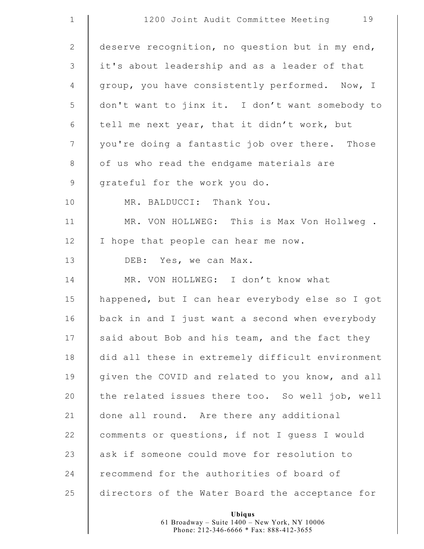| $\mathbf 1$    | 19<br>1200 Joint Audit Committee Meeting         |
|----------------|--------------------------------------------------|
| $\mathbf{2}$   | deserve recognition, no question but in my end,  |
| 3              | it's about leadership and as a leader of that    |
| $\overline{4}$ | group, you have consistently performed. Now, I   |
| 5              | don't want to jinx it. I don't want somebody to  |
| 6              | tell me next year, that it didn't work, but      |
| $\overline{7}$ | you're doing a fantastic job over there. Those   |
| 8              | of us who read the endgame materials are         |
| $\mathsf 9$    | grateful for the work you do.                    |
| 10             | MR. BALDUCCI: Thank You.                         |
| 11             | MR. VON HOLLWEG: This is Max Von Hollweg.        |
| 12             | I hope that people can hear me now.              |
| 13             | DEB: Yes, we can Max.                            |
| 14             | MR. VON HOLLWEG: I don't know what               |
| 15             | happened, but I can hear everybody else so I got |
| 16             | back in and I just want a second when everybody  |
| 17             | said about Bob and his team, and the fact they   |
| 18             | did all these in extremely difficult environment |
| 19             | given the COVID and related to you know, and all |
| 20             | the related issues there too. So well job, well  |
| 21             | done all round. Are there any additional         |
| 22             | comments or questions, if not I guess I would    |
| 23             | ask if someone could move for resolution to      |
| 24             | recommend for the authorities of board of        |
| 25             | directors of the Water Board the acceptance for  |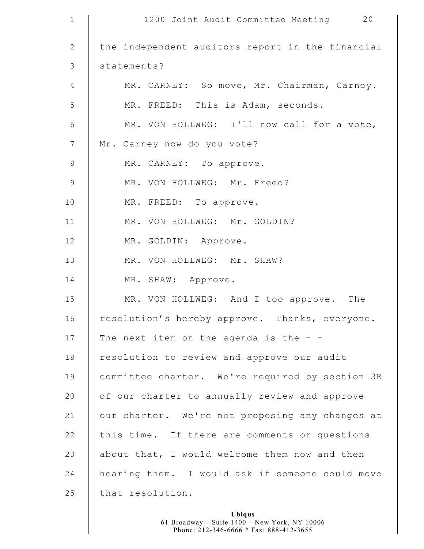| $\mathbf{1}$    | 1200 Joint Audit Committee Meeting 20            |
|-----------------|--------------------------------------------------|
| 2               | the independent auditors report in the financial |
| 3               | statements?                                      |
| $\overline{4}$  | MR. CARNEY: So move, Mr. Chairman, Carney.       |
| 5               | MR. FREED: This is Adam, seconds.                |
| $\sqrt{6}$      | MR. VON HOLLWEG: I'll now call for a vote,       |
| $7\phantom{.0}$ | Mr. Carney how do you vote?                      |
| $8\,$           | MR. CARNEY: To approve.                          |
| $\mathcal{G}$   | MR. VON HOLLWEG: Mr. Freed?                      |
| 10              | MR. FREED: To approve.                           |
| 11              | MR. VON HOLLWEG: Mr. GOLDIN?                     |
| 12              | MR. GOLDIN: Approve.                             |
| 13              | MR. VON HOLLWEG: Mr. SHAW?                       |
| 14              | MR. SHAW: Approve.                               |
| 15              | MR. VON HOLLWEG: And I too approve. The          |
| 16              | resolution's hereby approve. Thanks, everyone.   |
| 17              | The next item on the agenda is the $-$ -         |
| 18              | resolution to review and approve our audit       |
| 19              | committee charter. We're required by section 3R  |
| 20              | of our charter to annually review and approve    |
| 21              | our charter. We're not proposing any changes at  |
| 22              | this time. If there are comments or questions    |
| 23              | about that, I would welcome them now and then    |
| 24              | hearing them. I would ask if someone could move  |
| 25              | that resolution.                                 |
|                 |                                                  |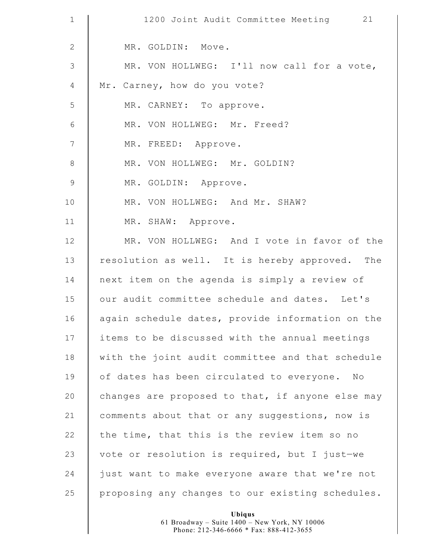| $\mathbf 1$    | 1200 Joint Audit Committee Meeting 21            |
|----------------|--------------------------------------------------|
| 2              | MR. GOLDIN: Move.                                |
| 3              | MR. VON HOLLWEG: I'll now call for a vote,       |
| 4              | Mr. Carney, how do you vote?                     |
| 5              | MR. CARNEY: To approve.                          |
| $\sqrt{6}$     | MR. VON HOLLWEG: Mr. Freed?                      |
| $\overline{7}$ | MR. FREED: Approve.                              |
| 8              | MR. VON HOLLWEG: Mr. GOLDIN?                     |
| $\overline{9}$ | MR. GOLDIN: Approve.                             |
| 10             | MR. VON HOLLWEG: And Mr. SHAW?                   |
| 11             | MR. SHAW: Approve.                               |
| 12             | MR. VON HOLLWEG: And I vote in favor of the      |
| 13             | resolution as well. It is hereby approved. The   |
| 14             | next item on the agenda is simply a review of    |
| 15             | our audit committee schedule and dates. Let's    |
| 16             | again schedule dates, provide information on the |
| 17             | items to be discussed with the annual meetings   |
| 18             | with the joint audit committee and that schedule |
| 19             | of dates has been circulated to everyone. No     |
| 20             | changes are proposed to that, if anyone else may |
| 21             | comments about that or any suggestions, now is   |
| 22             | the time, that this is the review item so no     |
| 23             | vote or resolution is required, but I just-we    |
| 24             | just want to make everyone aware that we're not  |
| 25             | proposing any changes to our existing schedules. |
|                | Ubiqus                                           |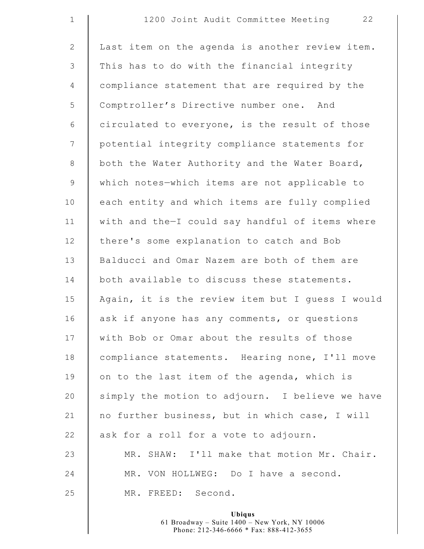| $\mathbf 1$     | 22<br>1200 Joint Audit Committee Meeting         |
|-----------------|--------------------------------------------------|
| $\mathbf{2}$    | Last item on the agenda is another review item.  |
| 3               | This has to do with the financial integrity      |
| $\overline{4}$  | compliance statement that are required by the    |
| 5               | Comptroller's Directive number one. And          |
| 6               | circulated to everyone, is the result of those   |
| $\overline{7}$  | potential integrity compliance statements for    |
| $8\,$           | both the Water Authority and the Water Board,    |
| $\mathsf 9$     | which notes-which items are not applicable to    |
| 10              | each entity and which items are fully complied   |
| 11              | with and the-I could say handful of items where  |
| 12 <sup>°</sup> | there's some explanation to catch and Bob        |
| 13              | Balducci and Omar Nazem are both of them are     |
| 14              | both available to discuss these statements.      |
| 15              | Again, it is the review item but I guess I would |
| 16              | ask if anyone has any comments, or questions     |
| 17              | with Bob or Omar about the results of those      |
| 18              | compliance statements. Hearing none, I'll move   |
| 19              | on to the last item of the agenda, which is      |
| 20              | simply the motion to adjourn. I believe we have  |
| 21              | no further business, but in which case, I will   |
| 22              | ask for a roll for a vote to adjourn.            |
| 23              | MR. SHAW: I'll make that motion Mr. Chair.       |
| 24              | MR. VON HOLLWEG: Do I have a second.             |
| 25              | MR. FREED: Second.                               |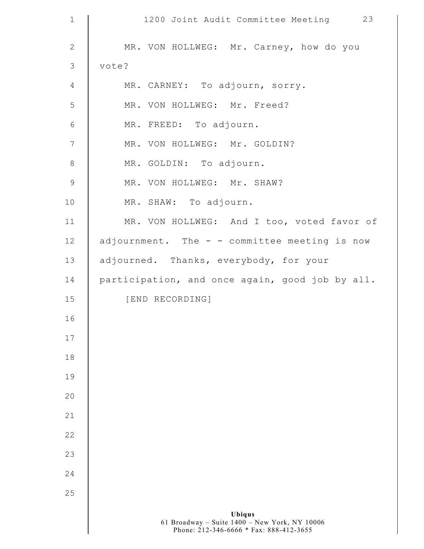| $\mathbf 1$    | 1200 Joint Audit Committee Meeting 23                                                                     |
|----------------|-----------------------------------------------------------------------------------------------------------|
| $\mathbf{2}$   | MR. VON HOLLWEG: Mr. Carney, how do you                                                                   |
| $\mathfrak{Z}$ | vote?                                                                                                     |
| $\overline{4}$ | MR. CARNEY: To adjourn, sorry.                                                                            |
| 5              | MR. VON HOLLWEG: Mr. Freed?                                                                               |
| $\epsilon$     | MR. FREED: To adjourn.                                                                                    |
| $\overline{7}$ | MR. VON HOLLWEG: Mr. GOLDIN?                                                                              |
| $\,8\,$        | MR. GOLDIN: To adjourn.                                                                                   |
| $\mathsf 9$    | MR. VON HOLLWEG: Mr. SHAW?                                                                                |
| 10             | MR. SHAW: To adjourn.                                                                                     |
| 11             | MR. VON HOLLWEG: And I too, voted favor of                                                                |
| 12             | adjournment. The - - committee meeting is now                                                             |
| 13             | adjourned. Thanks, everybody, for your                                                                    |
| 14             | participation, and once again, good job by all.                                                           |
| 15             | [END RECORDING]                                                                                           |
| 16             |                                                                                                           |
| 17             |                                                                                                           |
| 18             |                                                                                                           |
| 19             |                                                                                                           |
| 20             |                                                                                                           |
| 21             |                                                                                                           |
| 22             |                                                                                                           |
| 23             |                                                                                                           |
| 24             |                                                                                                           |
| 25             |                                                                                                           |
|                | <b>Ubiqus</b><br>61 Broadway - Suite 1400 - New York, NY 10006<br>Phone: 212-346-6666 * Fax: 888-412-3655 |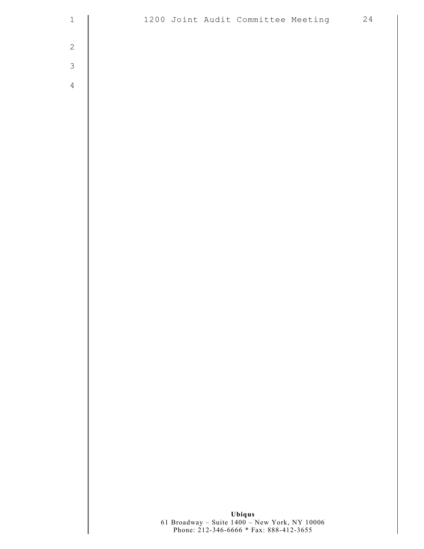2

3

4

1 | 1200 Joint Audit Committee Meeting

24